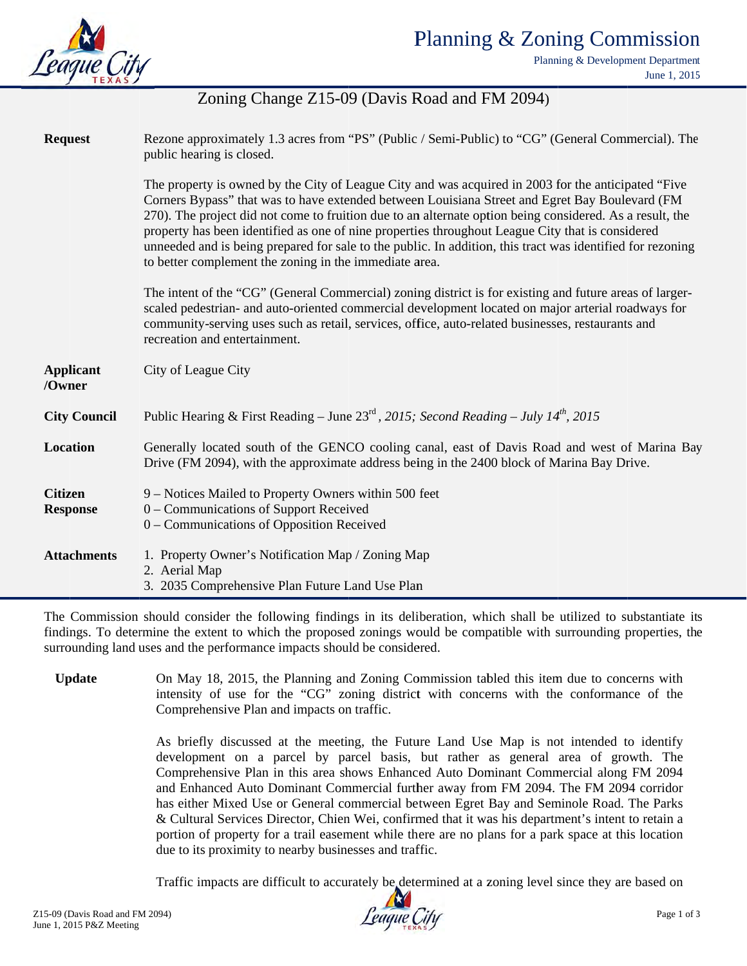

Planning & Development Department June 1, 2015

# Zoning Change Z15-09 (Davis Road and FM 2094)

| <b>Request</b>                    | Rezone approximately 1.3 acres from "PS" (Public / Semi-Public) to "CG" (General Commercial). The<br>public hearing is closed.                                                                                                                                                                                                                                                                                                                                                                                                                                                                 |
|-----------------------------------|------------------------------------------------------------------------------------------------------------------------------------------------------------------------------------------------------------------------------------------------------------------------------------------------------------------------------------------------------------------------------------------------------------------------------------------------------------------------------------------------------------------------------------------------------------------------------------------------|
|                                   | The property is owned by the City of League City and was acquired in 2003 for the anticipated "Five"<br>Corners Bypass" that was to have extended between Louisiana Street and Egret Bay Boulevard (FM<br>270). The project did not come to fruition due to an alternate option being considered. As a result, the<br>property has been identified as one of nine properties throughout League City that is considered<br>unneeded and is being prepared for sale to the public. In addition, this tract was identified for rezoning<br>to better complement the zoning in the immediate area. |
|                                   | The intent of the "CG" (General Commercial) zoning district is for existing and future areas of larger-<br>scaled pedestrian- and auto-oriented commercial development located on major arterial roadways for<br>community-serving uses such as retail, services, office, auto-related businesses, restaurants and<br>recreation and entertainment.                                                                                                                                                                                                                                            |
| <b>Applicant</b><br>/Owner        | City of League City                                                                                                                                                                                                                                                                                                                                                                                                                                                                                                                                                                            |
| <b>City Council</b>               | Public Hearing & First Reading - June $23^{\text{rd}}$ , 2015; Second Reading - July 14 <sup>th</sup> , 2015                                                                                                                                                                                                                                                                                                                                                                                                                                                                                   |
| Location                          | Generally located south of the GENCO cooling canal, east of Davis Road and west of Marina Bay<br>Drive (FM 2094), with the approximate address being in the 2400 block of Marina Bay Drive.                                                                                                                                                                                                                                                                                                                                                                                                    |
| <b>Citizen</b><br><b>Response</b> | 9 – Notices Mailed to Property Owners within 500 feet<br>0 – Communications of Support Received<br>0 – Communications of Opposition Received                                                                                                                                                                                                                                                                                                                                                                                                                                                   |
| <b>Attachments</b>                | 1. Property Owner's Notification Map / Zoning Map<br>2. Aerial Map<br>3. 2035 Comprehensive Plan Future Land Use Plan                                                                                                                                                                                                                                                                                                                                                                                                                                                                          |

The Commission should consider the following findings in its deliberation, which shall be utilized to substantiate its findings. To determine the extent to which the proposed zonings would be compatible with surrounding properties, the surrounding land uses and the performance impacts should be considered.

**Update** On May 18, 2015, the Planning and Zoning Commission tabled this item due to concerns with intensity of use for the "CG" zoning district with concerns with the conformance of the Comprehensive Plan and impacts on traffic.

> As briefly discussed at the meeting, the Future Land Use Map is not intended to identify development on a parcel by parcel basis, but rather as general area of growth. The Comprehensive Plan in this area shows Enhanced Auto Dominant Commercial along FM 2094 and Enhanced Auto Dominant Commercial further away from FM 2094. The FM 2094 corridor has either Mixed Use or General commercial between Egret Bay and Seminole Road. The Parks & Cultural Services Director, Chien Wei, confirmed that it was his department's intent to retain a portion of property for a trail easement while there are no plans for a park space at this location due to its proximity to nearby businesses and traffic.

> Traffic impacts are difficult to accurately be determined at a zoning level since they are based on

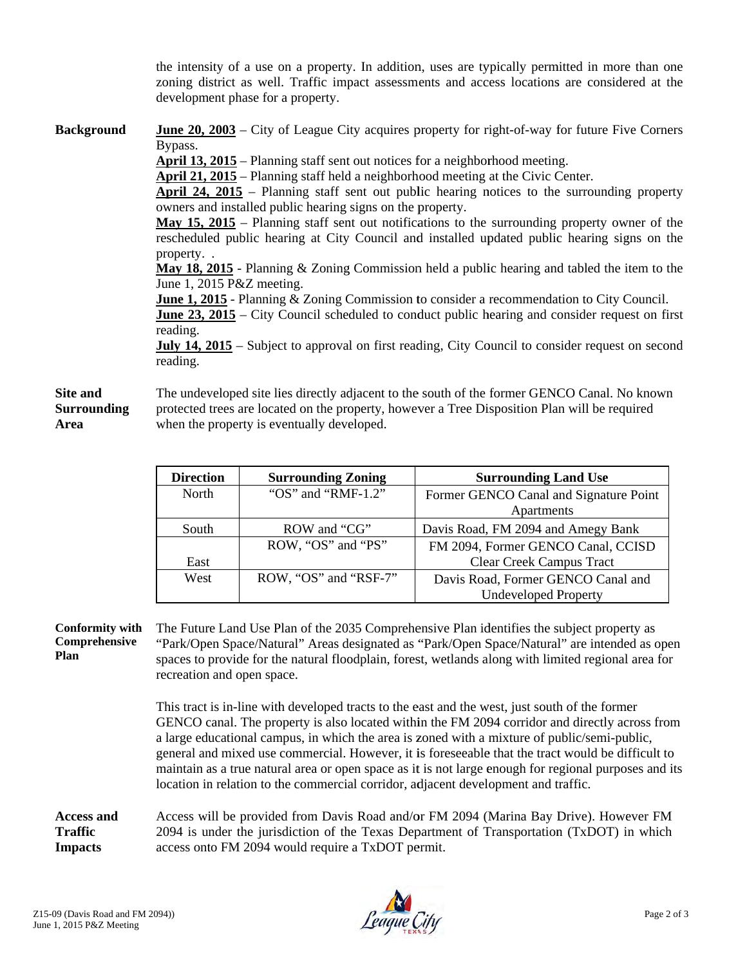the intensity of a use on a property. In addition, uses are typically permitted in more than one zoning district as well. Traffic impact assessments and access locations are considered at the development phase for a property.

**Background June 20, 2003** – City of League City acquires property for right-of-way for future Five Corners Bypass.

April 13, 2015 – Planning staff sent out notices for a neighborhood meeting.

April 21, 2015 – Planning staff held a neighborhood meeting at the Civic Center.

April 24, 2015 – Planning staff sent out public hearing notices to the surrounding property owners and installed public hearing signs on the property.

May 15, 2015 – Planning staff sent out notifications to the surrounding property owner of the rescheduled public hearing at City Council and installed updated public hearing signs on the property..

May 18, 2015 - Planning & Zoning Commission held a public hearing and tabled the item to the June 1, 2015 P&Z meeting.

**June 1, 2015** - Planning & Zoning Commission to consider a recommendation to City Council.

**June 23, 2015** – City Council scheduled to conduct public hearing and consider request on first reading.

**July 14, 2015** – Subject to approval on first reading, City Council to consider request on second reading.

#### Site and The undeveloped site lies directly adjacent to the south of the former GENCO Canal. No known protected trees are located on the property, however a Tree Disposition Plan will be required **Surrounding** Area when the property is eventually developed.

| <b>Direction</b> | <b>Surrounding Zoning</b>  | <b>Surrounding Land Use</b>            |
|------------------|----------------------------|----------------------------------------|
| North            | " $OS$ " and " $RMF-1.2$ " | Former GENCO Canal and Signature Point |
|                  |                            | Apartments                             |
| South            | ROW and "CG"               | Davis Road, FM 2094 and Amegy Bank     |
|                  | ROW, "OS" and "PS"         | FM 2094, Former GENCO Canal, CCISD     |
| East             |                            | <b>Clear Creek Campus Tract</b>        |
| West             | ROW, "OS" and "RSF-7"      | Davis Road, Former GENCO Canal and     |
|                  |                            | <b>Undeveloped Property</b>            |

### **Conformity with** Comprehensive Plan

The Future Land Use Plan of the 2035 Comprehensive Plan identifies the subject property as "Park/Open Space/Natural" Areas designated as "Park/Open Space/Natural" are intended as open spaces to provide for the natural floodplain, forest, wetlands along with limited regional area for recreation and open space.

This tract is in-line with developed tracts to the east and the west, just south of the former GENCO canal. The property is also located within the FM 2094 corridor and directly across from a large educational campus, in which the area is zoned with a mixture of public/semi-public, general and mixed use commercial. However, it is foreseeable that the tract would be difficult to maintain as a true natural area or open space as it is not large enough for regional purposes and its location in relation to the commercial corridor, adjacent development and traffic.

#### **Access and** Access will be provided from Davis Road and/or FM 2094 (Marina Bay Drive). However FM **Traffic** 2094 is under the jurisdiction of the Texas Department of Transportation (TxDOT) in which **Impacts** access onto FM 2094 would require a TxDOT permit.

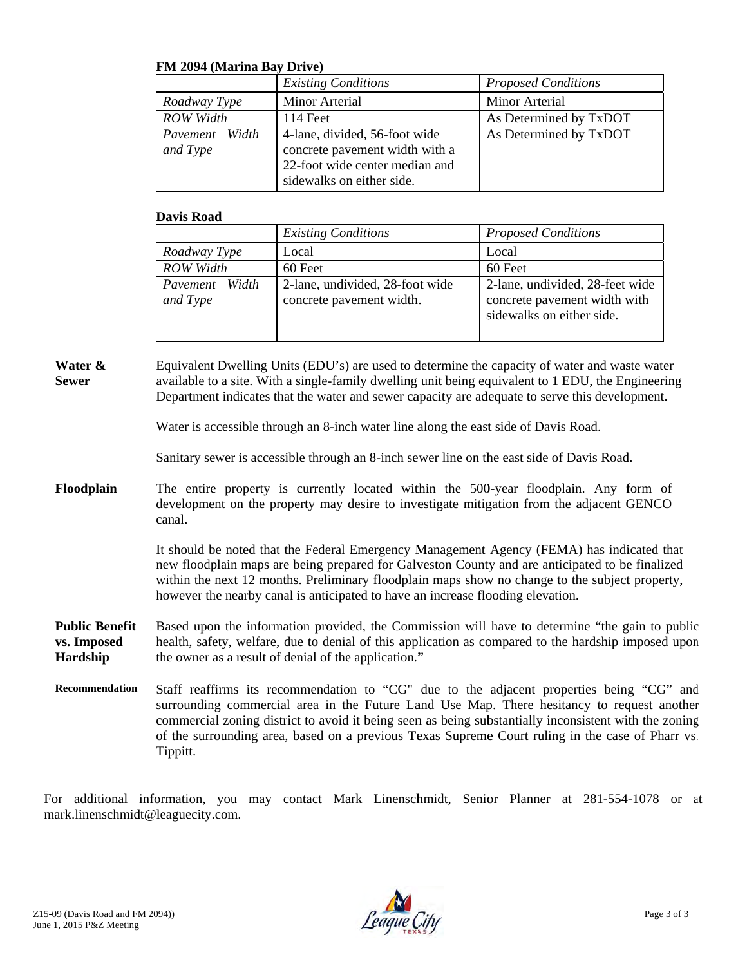## **FM 2094 (Marina Bay Drive)**

|                               | <b>Existing Conditions</b>                                                                                                     | <b>Proposed Conditions</b>      |
|-------------------------------|--------------------------------------------------------------------------------------------------------------------------------|---------------------------------|
| Roadway Type                  | Minor Arterial                                                                                                                 | <b>Minor Arterial</b>           |
| <b>ROW</b> Width              | 114 Feet                                                                                                                       | As Determined by TxDOT          |
| Width<br>Pavement<br>and Type | 4-lane, divided, 56-foot wide<br>concrete pavement width with a<br>22-foot wide center median and<br>sidewalks on either side. | As Determined by TxDOT          |
| <b>Davis Road</b>             |                                                                                                                                |                                 |
|                               | <b>Existing Conditions</b>                                                                                                     | <b>Proposed Conditions</b>      |
| Roadway Type                  | Local                                                                                                                          | Local                           |
| <b>ROW</b> Width              | 60 Feet                                                                                                                        | 60 Feet                         |
| Width<br>Pavement             | 2-lane, undivided, 28-foot wide                                                                                                | 2-lane, undivided, 28-feet wide |

## **Davis Road**

|                               | <b>Existing Conditions</b>                                  | <b>Proposed Conditions</b>                                                                   |
|-------------------------------|-------------------------------------------------------------|----------------------------------------------------------------------------------------------|
| Roadway Type                  | Local                                                       | Local                                                                                        |
| <b>ROW Width</b>              | 60 Feet                                                     | 60 Feet                                                                                      |
| Width<br>Payement<br>and Type | 2-lane, undivided, 28-foot wide<br>concrete pavement width. | 2-lane, undivided, 28-feet wide<br>concrete pavement width with<br>sidewalks on either side. |

**Water & Sew wer** Equivalent Dwelling Units (EDU's) are used to determine the capacity of water and waste water available to a site. With a single-family dwelling unit being equivalent to 1 EDU, the Engineering Department indicates that the water and sewer capacity are adequate to serve this development.

Water is accessible through an 8-inch water line along the east side of Davis Road.

Sanitary sewer is accessible through an 8-inch sewer line on the east side of Davis Road.

**Flo oodplain**  The entire property is currently located within the 500-year floodplain. Any form of development on the property may desire to investigate mitigation from the adjacent GENCO canal.

> It should be noted that the Federal Emergency Management Agency (FEMA) has indicated that new floodplain maps are being prepared for Galveston County and are anticipated to be finalized within the next 12 months. Preliminary floodplain maps show no change to the subject property, however the nearby canal is anticipated to have an increase flooding elevation.

**Pu ublic Benefit vs. . Imposed Ha ardship** Based upon the information provided, the Commission will have to determine "the gain to public Based upon the information provided, the Commission will have to determine "the gain to public<br>health, safety, welfare, due to denial of this application as compared to the hardship imposed upon the owner as a result of denial of the application."

**Rec commendation**  the owner as a result of denial of the application."<br>Staff reaffirms its recommendation to "CG" due to the adjacent properties being "CG" and surrounding commercial area in the Future Land Use Map. There hesitancy to request another commercial zoning district to avoid it being seen as being substantially inconsistent with the zoning of the surrounding area, based on a previous Texas Supreme Court ruling in the case of Pharr vs. Tippitt. d<br>g

For additional information, you may contact Mark Linenschmidt, Senior Planner at 281-554-1078 or at mark.linenschmidt@leaguecity.com.

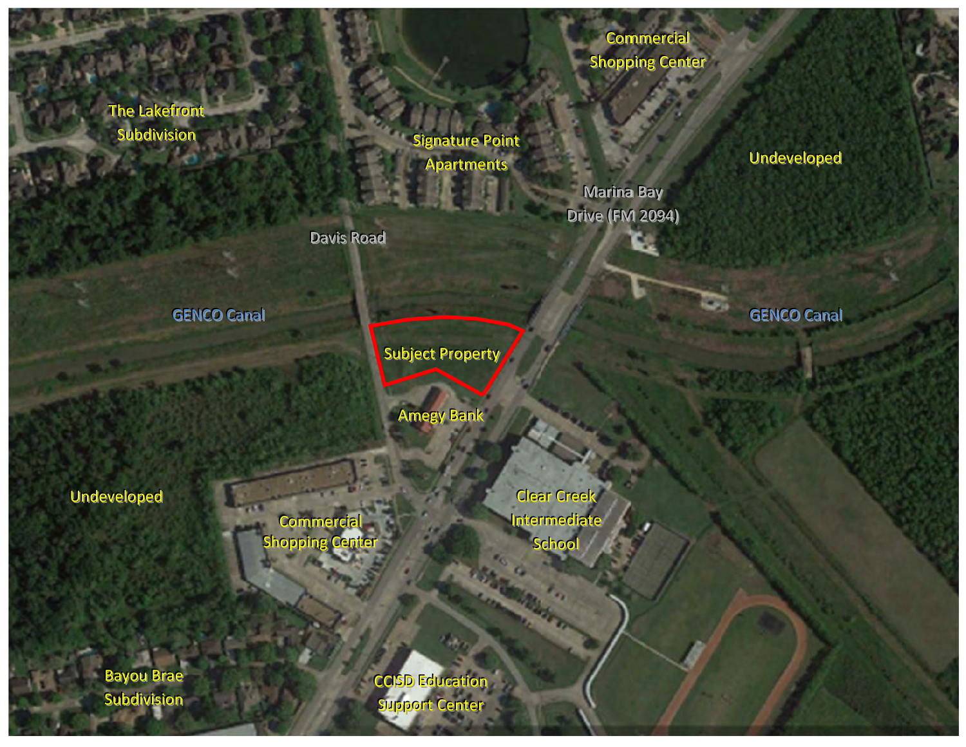The Lakefr Subdivision ront<br>ion<br>GEN<br>eenn

Signature Point **Apartments** 

> Marina Bay Drive (FM 2094)

Commercial

**Shopping Center** 

**GENCO Canal** 

Subject Property

**Amegy Bank** 

Undeveloped

Shopping Center **Commercial** 

Davis Road

Clear Creek Intermediate School

Bayou Brae Subdivision

ccisp Education Support Center

Undeveloped

**GENCO Canal**